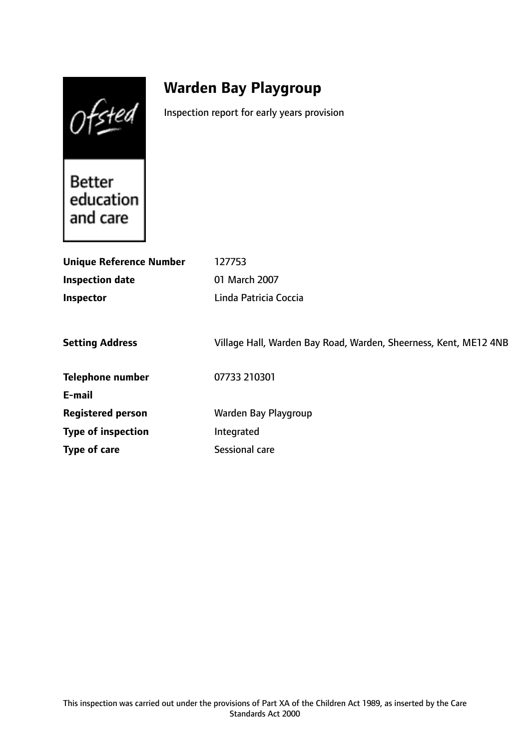Ofsted

# **Warden Bay Playgroup**

Inspection report for early years provision

**Better** education and care

| <b>Unique Reference Number</b> | 127753                                                           |
|--------------------------------|------------------------------------------------------------------|
| <b>Inspection date</b>         | 01 March 2007                                                    |
| Inspector                      | Linda Patricia Coccia                                            |
|                                |                                                                  |
| <b>Setting Address</b>         | Village Hall, Warden Bay Road, Warden, Sheerness, Kent, ME12 4NB |
| <b>Telephone number</b>        | 07733 210301                                                     |
| E-mail                         |                                                                  |
| <b>Registered person</b>       | Warden Bay Playgroup                                             |
| <b>Type of inspection</b>      | Integrated                                                       |
| Type of care                   | Sessional care                                                   |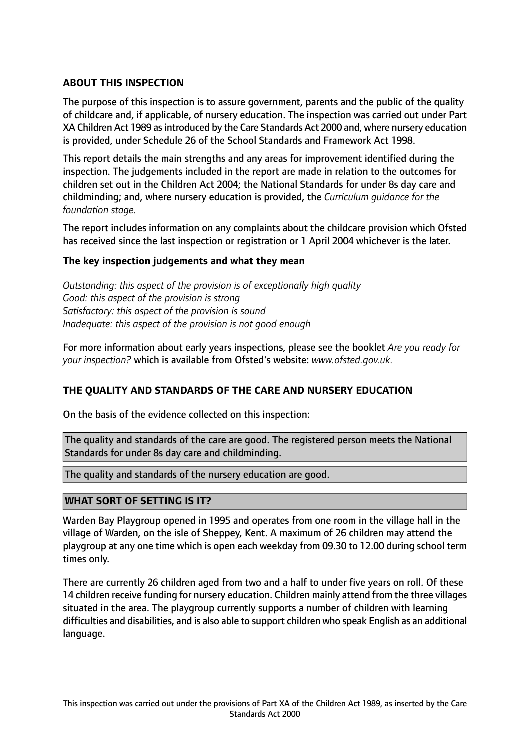# **ABOUT THIS INSPECTION**

The purpose of this inspection is to assure government, parents and the public of the quality of childcare and, if applicable, of nursery education. The inspection was carried out under Part XA Children Act 1989 asintroduced by the Care Standards Act 2000 and, where nursery education is provided, under Schedule 26 of the School Standards and Framework Act 1998.

This report details the main strengths and any areas for improvement identified during the inspection. The judgements included in the report are made in relation to the outcomes for children set out in the Children Act 2004; the National Standards for under 8s day care and childminding; and, where nursery education is provided, the *Curriculum guidance for the foundation stage.*

The report includes information on any complaints about the childcare provision which Ofsted has received since the last inspection or registration or 1 April 2004 whichever is the later.

## **The key inspection judgements and what they mean**

*Outstanding: this aspect of the provision is of exceptionally high quality Good: this aspect of the provision is strong Satisfactory: this aspect of the provision is sound Inadequate: this aspect of the provision is not good enough*

For more information about early years inspections, please see the booklet *Are you ready for your inspection?* which is available from Ofsted's website: *www.ofsted.gov.uk.*

## **THE QUALITY AND STANDARDS OF THE CARE AND NURSERY EDUCATION**

On the basis of the evidence collected on this inspection:

The quality and standards of the care are good. The registered person meets the National Standards for under 8s day care and childminding.

The quality and standards of the nursery education are good.

## **WHAT SORT OF SETTING IS IT?**

Warden Bay Playgroup opened in 1995 and operates from one room in the village hall in the village of Warden, on the isle of Sheppey, Kent. A maximum of 26 children may attend the playgroup at any one time which is open each weekday from 09.30 to 12.00 during school term times only.

There are currently 26 children aged from two and a half to under five years on roll. Of these 14 children receive funding for nursery education. Children mainly attend from the three villages situated in the area. The playgroup currently supports a number of children with learning difficulties and disabilities, and is also able to support children who speak English as an additional language.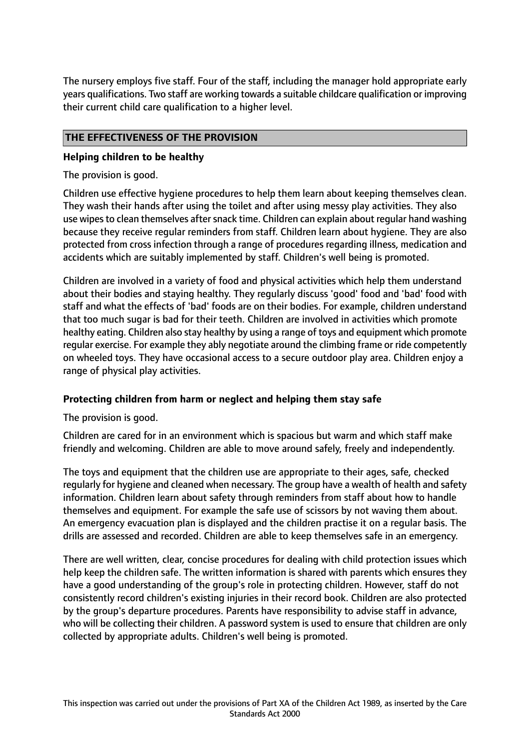The nursery employs five staff. Four of the staff, including the manager hold appropriate early years qualifications. Two staff are working towards a suitable childcare qualification or improving their current child care qualification to a higher level.

# **THE EFFECTIVENESS OF THE PROVISION**

## **Helping children to be healthy**

The provision is good.

Children use effective hygiene procedures to help them learn about keeping themselves clean. They wash their hands after using the toilet and after using messy play activities. They also use wipes to clean themselves after snack time. Children can explain about regular hand washing because they receive regular reminders from staff. Children learn about hygiene. They are also protected from cross infection through a range of procedures regarding illness, medication and accidents which are suitably implemented by staff. Children's well being is promoted.

Children are involved in a variety of food and physical activities which help them understand about their bodies and staying healthy. They regularly discuss 'good' food and 'bad' food with staff and what the effects of 'bad' foods are on their bodies. For example, children understand that too much sugar is bad for their teeth. Children are involved in activities which promote healthy eating. Children also stay healthy by using a range of toys and equipment which promote regular exercise. For example they ably negotiate around the climbing frame or ride competently on wheeled toys. They have occasional access to a secure outdoor play area. Children enjoy a range of physical play activities.

## **Protecting children from harm or neglect and helping them stay safe**

The provision is good.

Children are cared for in an environment which is spacious but warm and which staff make friendly and welcoming. Children are able to move around safely, freely and independently.

The toys and equipment that the children use are appropriate to their ages, safe, checked regularly for hygiene and cleaned when necessary. The group have a wealth of health and safety information. Children learn about safety through reminders from staff about how to handle themselves and equipment. For example the safe use of scissors by not waving them about. An emergency evacuation plan is displayed and the children practise it on a regular basis. The drills are assessed and recorded. Children are able to keep themselves safe in an emergency.

There are well written, clear, concise procedures for dealing with child protection issues which help keep the children safe. The written information is shared with parents which ensures they have a good understanding of the group's role in protecting children. However, staff do not consistently record children's existing injuries in their record book. Children are also protected by the group's departure procedures. Parents have responsibility to advise staff in advance, who will be collecting their children. A password system is used to ensure that children are only collected by appropriate adults. Children's well being is promoted.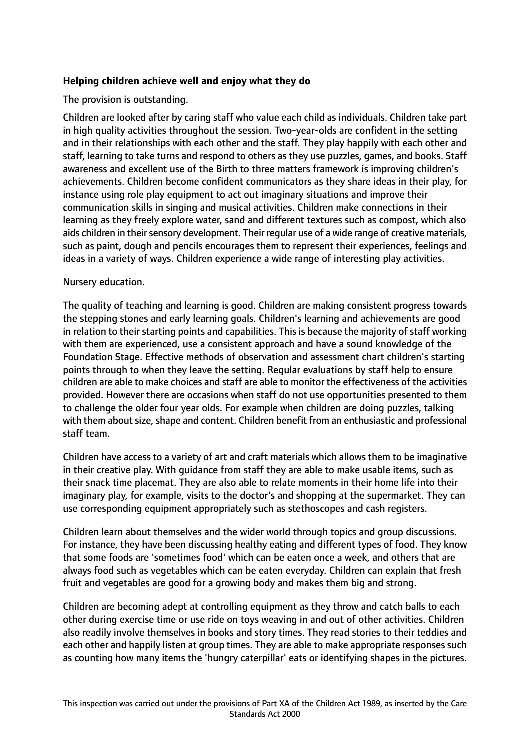# **Helping children achieve well and enjoy what they do**

The provision is outstanding.

Children are looked after by caring staff who value each child as individuals. Children take part in high quality activities throughout the session. Two-year-olds are confident in the setting and in their relationships with each other and the staff. They play happily with each other and staff, learning to take turns and respond to others as they use puzzles, games, and books. Staff awareness and excellent use of the Birth to three matters framework is improving children's achievements. Children become confident communicators as they share ideas in their play, for instance using role play equipment to act out imaginary situations and improve their communication skills in singing and musical activities. Children make connections in their learning as they freely explore water, sand and different textures such as compost, which also aids children in their sensory development. Their regular use of a wide range of creative materials, such as paint, dough and pencils encourages them to represent their experiences, feelings and ideas in a variety of ways. Children experience a wide range of interesting play activities.

#### Nursery education.

The quality of teaching and learning is good. Children are making consistent progress towards the stepping stones and early learning goals. Children's learning and achievements are good in relation to their starting points and capabilities. This is because the majority of staff working with them are experienced, use a consistent approach and have a sound knowledge of the Foundation Stage. Effective methods of observation and assessment chart children's starting points through to when they leave the setting. Regular evaluations by staff help to ensure children are able to make choices and staff are able to monitor the effectiveness of the activities provided. However there are occasions when staff do not use opportunities presented to them to challenge the older four year olds. For example when children are doing puzzles, talking with them about size, shape and content. Children benefit from an enthusiastic and professional staff team.

Children have access to a variety of art and craft materials which allows them to be imaginative in their creative play. With guidance from staff they are able to make usable items, such as their snack time placemat. They are also able to relate moments in their home life into their imaginary play, for example, visits to the doctor's and shopping at the supermarket. They can use corresponding equipment appropriately such as stethoscopes and cash registers.

Children learn about themselves and the wider world through topics and group discussions. For instance, they have been discussing healthy eating and different types of food. They know that some foods are 'sometimes food' which can be eaten once a week, and others that are always food such as vegetables which can be eaten everyday. Children can explain that fresh fruit and vegetables are good for a growing body and makes them big and strong.

Children are becoming adept at controlling equipment as they throw and catch balls to each other during exercise time or use ride on toys weaving in and out of other activities. Children also readily involve themselves in books and story times. They read stories to their teddies and each other and happily listen at group times. They are able to make appropriate responses such as counting how many items the 'hungry caterpillar' eats or identifying shapes in the pictures.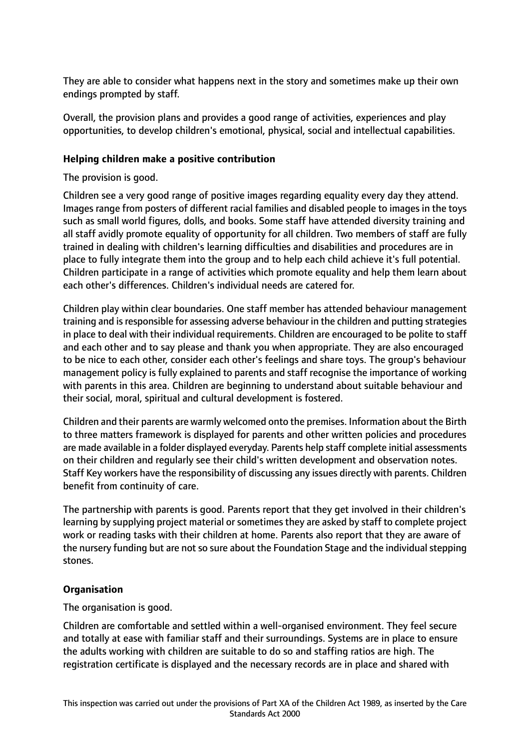They are able to consider what happens next in the story and sometimes make up their own endings prompted by staff.

Overall, the provision plans and provides a good range of activities, experiences and play opportunities, to develop children's emotional, physical, social and intellectual capabilities.

## **Helping children make a positive contribution**

The provision is good.

Children see a very good range of positive images regarding equality every day they attend. Images range from posters of different racial families and disabled people to images in the toys such as small world figures, dolls, and books. Some staff have attended diversity training and all staff avidly promote equality of opportunity for all children. Two members of staff are fully trained in dealing with children's learning difficulties and disabilities and procedures are in place to fully integrate them into the group and to help each child achieve it's full potential. Children participate in a range of activities which promote equality and help them learn about each other's differences. Children's individual needs are catered for.

Children play within clear boundaries. One staff member has attended behaviour management training and isresponsible for assessing adverse behaviour in the children and putting strategies in place to deal with their individual requirements. Children are encouraged to be polite to staff and each other and to say please and thank you when appropriate. They are also encouraged to be nice to each other, consider each other's feelings and share toys. The group's behaviour management policy is fully explained to parents and staff recognise the importance of working with parents in this area. Children are beginning to understand about suitable behaviour and their social, moral, spiritual and cultural development is fostered.

Children and their parents are warmly welcomed onto the premises. Information about the Birth to three matters framework is displayed for parents and other written policies and procedures are made available in a folder displayed everyday. Parents help staff complete initial assessments on their children and regularly see their child's written development and observation notes. Staff Key workers have the responsibility of discussing any issues directly with parents. Children benefit from continuity of care.

The partnership with parents is good. Parents report that they get involved in their children's learning by supplying project material or sometimes they are asked by staff to complete project work or reading tasks with their children at home. Parents also report that they are aware of the nursery funding but are not so sure about the Foundation Stage and the individual stepping stones.

## **Organisation**

The organisation is good.

Children are comfortable and settled within a well-organised environment. They feel secure and totally at ease with familiar staff and their surroundings. Systems are in place to ensure the adults working with children are suitable to do so and staffing ratios are high. The registration certificate is displayed and the necessary records are in place and shared with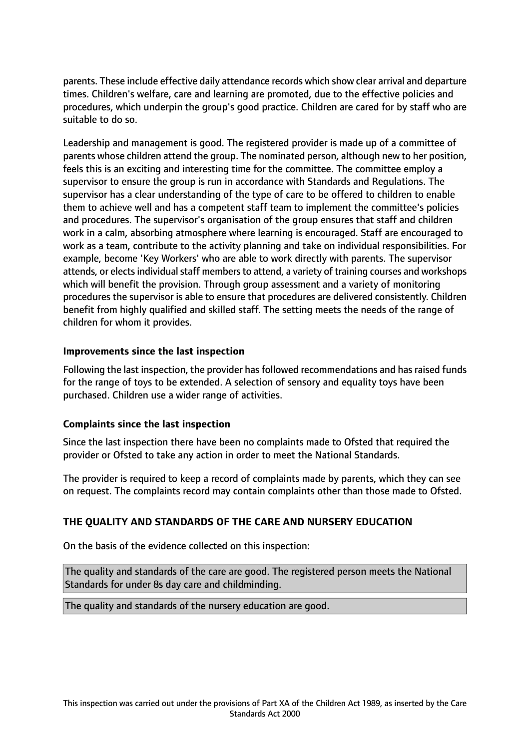parents. These include effective daily attendance records which show clear arrival and departure times. Children's welfare, care and learning are promoted, due to the effective policies and procedures, which underpin the group's good practice. Children are cared for by staff who are suitable to do so.

Leadership and management is good. The registered provider is made up of a committee of parents whose children attend the group. The nominated person, although new to her position, feels this is an exciting and interesting time for the committee. The committee employ a supervisor to ensure the group is run in accordance with Standards and Regulations. The supervisor has a clear understanding of the type of care to be offered to children to enable them to achieve well and has a competent staff team to implement the committee's policies and procedures. The supervisor's organisation of the group ensures that staff and children work in a calm, absorbing atmosphere where learning is encouraged. Staff are encouraged to work as a team, contribute to the activity planning and take on individual responsibilities. For example, become 'Key Workers' who are able to work directly with parents. The supervisor attends, or elects individual staff members to attend, a variety of training courses and workshops which will benefit the provision. Through group assessment and a variety of monitoring procedures the supervisor is able to ensure that procedures are delivered consistently. Children benefit from highly qualified and skilled staff. The setting meets the needs of the range of children for whom it provides.

## **Improvements since the last inspection**

Following the last inspection, the provider has followed recommendations and has raised funds for the range of toys to be extended. A selection of sensory and equality toys have been purchased. Children use a wider range of activities.

## **Complaints since the last inspection**

Since the last inspection there have been no complaints made to Ofsted that required the provider or Ofsted to take any action in order to meet the National Standards.

The provider is required to keep a record of complaints made by parents, which they can see on request. The complaints record may contain complaints other than those made to Ofsted.

## **THE QUALITY AND STANDARDS OF THE CARE AND NURSERY EDUCATION**

On the basis of the evidence collected on this inspection:

The quality and standards of the care are good. The registered person meets the National Standards for under 8s day care and childminding.

The quality and standards of the nursery education are good.